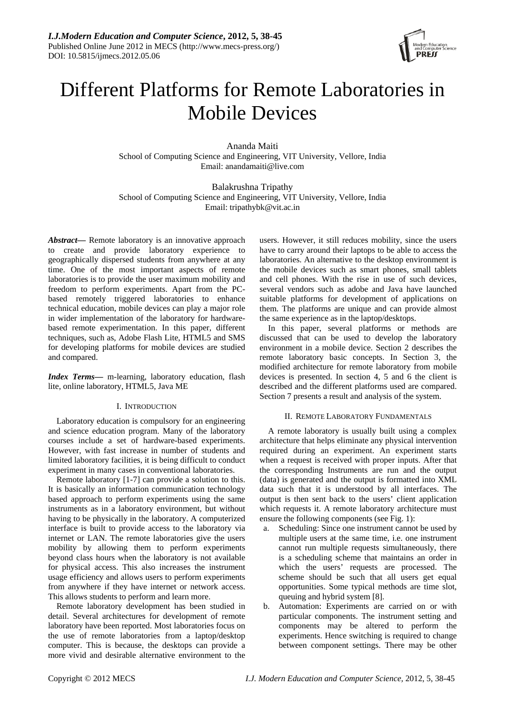

# Different Platforms for Remote Laboratories in Mobile Devices

Ananda Maiti School of Computing Science and Engineering, VIT University, Vellore, India Email: anandamaiti@live.com

Balakrushna Tripathy School of Computing Science and Engineering, VIT University, Vellore, India Email: tripathybk@vit.ac.in

*Abstract***—** Remote laboratory is an innovative approach to create and provide laboratory experience to geographically dispersed students from anywhere at any time. One of the most important aspects of remote laboratories is to provide the user maximum mobility and freedom to perform experiments. Apart from the PCbased remotely triggered laboratories to enhance technical education, mobile devices can play a major role in wider implementation of the laboratory for hardwarebased remote experimentation. In this paper, different techniques, such as, Adobe Flash Lite, HTML5 and SMS for developing platforms for mobile devices are studied and compared.

*Index Terms***—** m-learning, laboratory education, flash lite, online laboratory, HTML5, Java ME

# I. INTRODUCTION

Laboratory education is compulsory for an engineering and science education program. Many of the laboratory courses include a set of hardware-based experiments. However, with fast increase in number of students and limited laboratory facilities, it is being difficult to conduct experiment in many cases in conventional laboratories.

Remote laboratory [1-7] can provide a solution to this. It is basically an information communication technology based approach to perform experiments using the same instruments as in a laboratory environment, but without having to be physically in the laboratory. A computerized interface is built to provide access to the laboratory via internet or LAN. The remote laboratories give the users mobility by allowing them to perform experiments beyond class hours when the laboratory is not available for physical access. This also increases the instrument usage efficiency and allows users to perform experiments from anywhere if they have internet or network access. This allows students to perform and learn more.

Remote laboratory development has been studied in detail. Several architectures for development of remote laboratory have been reported. Most laboratories focus on the use of remote laboratories from a laptop/desktop computer. This is because, the desktops can provide a more vivid and desirable alternative environment to the users. However, it still reduces mobility, since the users have to carry around their laptops to be able to access the laboratories. An alternative to the desktop environment is the mobile devices such as smart phones, small tablets and cell phones. With the rise in use of such devices, several vendors such as adobe and Java have launched suitable platforms for development of applications on them. The platforms are unique and can provide almost the same experience as in the laptop/desktops.

In this paper, several platforms or methods are discussed that can be used to develop the laboratory environment in a mobile device. Section 2 describes the remote laboratory basic concepts. In Section 3, the modified architecture for remote laboratory from mobile devices is presented. In section 4, 5 and 6 the client is described and the different platforms used are compared. Section 7 presents a result and analysis of the system.

# II. REMOTE LABORATORY FUNDAMENTALS

A remote laboratory is usually built using a complex architecture that helps eliminate any physical intervention required during an experiment. An experiment starts when a request is received with proper inputs. After that the corresponding Instruments are run and the output (data) is generated and the output is formatted into XML data such that it is understood by all interfaces. The output is then sent back to the users' client application which requests it. A remote laboratory architecture must ensure the following components (see Fig. 1):

- a. Scheduling: Since one instrument cannot be used by multiple users at the same time, i.e. one instrument cannot run multiple requests simultaneously, there is a scheduling scheme that maintains an order in which the users' requests are processed. The scheme should be such that all users get equal opportunities. Some typical methods are time slot, queuing and hybrid system [8].
- b. Automation: Experiments are carried on or with particular components. The instrument setting and components may be altered to perform the experiments. Hence switching is required to change between component settings. There may be other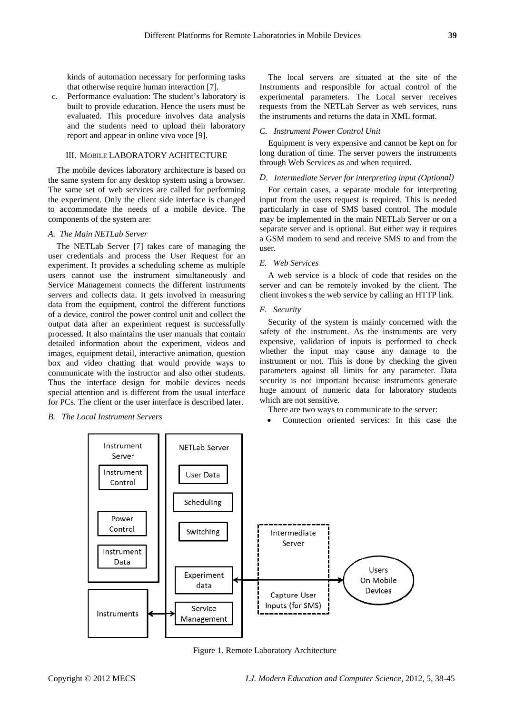kinds of automation necessary for performing tasks that otherwise require human interaction [7].

c. Performance evaluation: The student's laboratory is built to provide education. Hence the users must be evaluated. This procedure involves data analysis and the students need to upload their laboratory report and appear in online viva voce [9].

## III. MOBILE LABORATORY ACHITECTURE

The mobile devices laboratory architecture is based on the same system for any desktop system using a browser. The same set of web services are called for performing the experiment. Only the client side interface is changed to accommodate the needs of a mobile device. The components of the system are:

## *A. The Main NETLab Server*

The NETLab Server [7] takes care of managing the user credentials and process the User Request for an experiment. It provides a scheduling scheme as multiple users cannot use the instrument simultaneously and Service Management connects the different instruments servers and collects data. It gets involved in measuring data from the equipment, control the different functions of a device, control the power control unit and collect the output data after an experiment request is successfully processed. It also maintains the user manuals that contain detailed information about the experiment, videos and images, equipment detail, interactive animation, question box and video chatting that would provide ways to communicate with the instructor and also other students. Thus the interface design for mobile devices needs special attention and is different from the usual interface for PCs. The client or the user interface is described later.

*B. The Local Instrument Servers* 

The local servers are situated at the site of the In struments and responsible for actual control of the experimental parameters. The Local server receives requests from the NETLab Server as web services, runs the instruments and returns the data in XML format.

## *C. Instrument Power Control Unit*

Equipment is very expensive and cannot be kept on for long duration of time. The server powers the instruments through Web Services as and when required.

## *D.* Intermediate Server for interpreting input (Optional)

input from the users request is required. This is needed particularly in case of SMS based control. The module may be implemented in the main NETLab Server or on a separate server and is optional. But either way it requires a GSM modem to send and receive SMS to and from the user. For certain cases, a separate module for interpreting

# *E. Web Services*

A web service is a block of code that resides on the server and can be remotely invoked by the client. The client invokes s the web service by calling an HTTP link.

## *F. Security*

Security of the system is mainly concerned with the safety of the instrument. As the instruments are very expensive, validation of inputs is performed to check whether the input may cause any damage to the instrument or not. This is done by checking the given parameters against all limits for any parameter. Data security is not important because instruments generate huge amount of numeric data for laboratory students which are not sensitive.

There are two ways to communicate to the server:

• Connection oriented services: In this case the



Figure 1. Remote Laboratory Architecture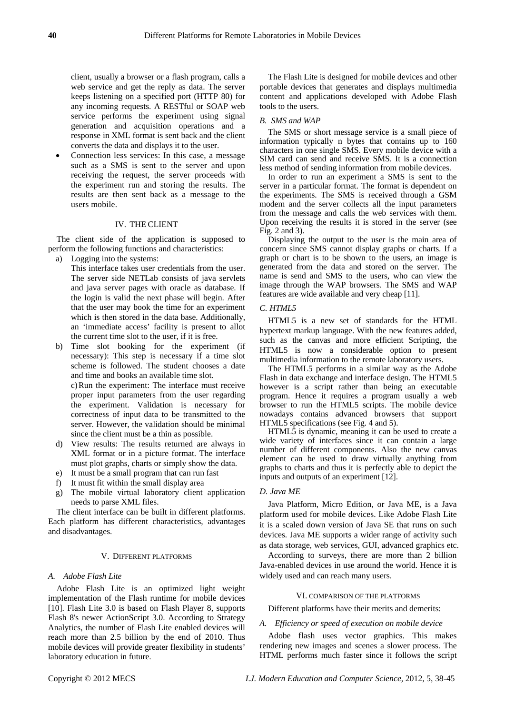client, usually a browser or a flash program, calls a web service and get the reply as data. The server keeps listening on a specified port (HTTP 80) for any incoming requests. A RESTful or SOAP web service performs the experiment using signal generation and acquisition operations and a response in XML format is sent back and the client converts the data and displays it to the user.

• Connection less services: In this case, a message such as a SMS is sent to the server and upon receiving the request, the server proceeds with the experiment run and storing the results. The results are then sent back as a message to the users mobile.

## IV. THE CLIENT

The client side of the application is supposed to perform the following functions and characteristics:

- a) Logging into the systems:
	- This interface takes user credentials from the user. The server side NETLab consists of java servlets and java server pages with oracle as database. If the login is valid the next phase will begin. After that the user may book the time for an experiment which is then stored in the data base. Additionally, an 'immediate access' facility is present to allot the current time slot to the user, if it is free.
- b) Time slot booking for the experiment (if necessary): This step is necessary if a time slot scheme is followed. The student chooses a date and time and books an available time slot. c)Run the experiment: The interface must receive proper input parameters from the user regarding the experiment. Validation is necessary for correctness of input data to be transmitted to the server. However, the validation should be minimal since the client must be a thin as possible.
- d) View results: The results returned are always in XML format or in a picture format. The interface must plot graphs, charts or simply show the data.
- e) It must be a small program that can run fast
- f) It must fit within the small display area
- g) The mobile virtual laboratory client application needs to parse XML files.

The client interface can be built in different platforms. Each platform has different characteristics, advantages and disadvantages.

#### V. DIFFERENT PLATFORMS

# *A. Adobe Flash Lite*

Adobe Flash Lite is an optimized light weight implementation of the Flash runtime for mobile devices [10]. Flash Lite 3.0 is based on Flash Player 8, supports Flash 8's newer ActionScript 3.0. According to Strategy Analytics, the number of Flash Lite enabled devices will reach more than 2.5 billion by the end of 2010. Thus mobile devices will provide greater flexibility in students' laboratory education in future.

The Flash Lite is designed for mobile devices and other portable devices that generates and displays multimedia content and applications developed with Adobe Flash tools to the users.

## *B. SMS and WAP*

The SMS or short message service is a small piece of information typically n bytes that contains up to 160 characters in one single SMS. Every mobile device with a SIM card can send and receive SMS. It is a connection less method of sending information from mobile devices.

In order to run an experiment a SMS is sent to the server in a particular format. The format is dependent on the experiments. The SMS is received through a GSM modem and the server collects all the input parameters from the message and calls the web services with them. Upon receiving the results it is stored in the server (see Fig. 2 and 3).

Displaying the output to the user is the main area of concern since SMS cannot display graphs or charts. If a graph or chart is to be shown to the users, an image is generated from the data and stored on the server. The name is send and SMS to the users, who can view the image through the WAP browsers. The SMS and WAP features are wide available and very cheap [11].

## *C. HTML5*

HTML5 is a new set of standards for the HTML hypertext markup language. With the new features added, such as the canvas and more efficient Scripting, the HTML5 is now a considerable option to present multimedia information to the remote laboratory users.

The HTML5 performs in a similar way as the Adobe Flash in data exchange and interface design. The HTML5 however is a script rather than being an executable program. Hence it requires a program usually a web browser to run the HTML5 scripts. The mobile device nowadays contains advanced browsers that support HTML5 specifications (see Fig. 4 and 5).

HTML5 is dynamic, meaning it can be used to create a wide variety of interfaces since it can contain a large number of different components. Also the new canvas element can be used to draw virtually anything from graphs to charts and thus it is perfectly able to depict the inputs and outputs of an experiment [12].

## *D. Java ME*

Java Platform, Micro Edition, or Java ME, is a Java platform used for mobile devices. Like Adobe Flash Lite it is a scaled down version of Java SE that runs on such devices. Java ME supports a wider range of activity such as data storage, web services, GUI, advanced graphics etc.

According to surveys, there are more than 2 billion Java-enabled devices in use around the world. Hence it is widely used and can reach many users.

#### VI. COMPARISON OF THE PLATFORMS

## Different platforms have their merits and demerits:

#### *A. Efficiency or speed of execution on mobile device*

Adobe flash uses vector graphics. This makes rendering new images and scenes a slower process. The HTML performs much faster since it follows the script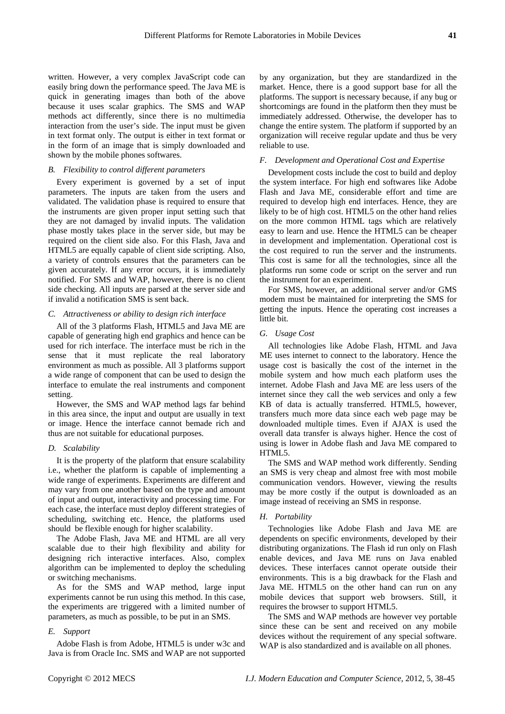written. However, a very complex JavaScript code can easily bring down the performance speed. The Java ME is quick in generating images than both of the above because it uses scalar graphics. The SMS and WAP methods act differently, since there is no multimedia interaction from the user's side. The input must be given in text format only. The output is either in text format or in the form of an image that is simply downloaded and shown by the mobile phones softwares.

# *B. Flexibility to control different parameters*

Every experiment is governed by a set of input parameters. The inputs are taken from the users and validated. The validation phase is required to ensure that the instruments are given proper input setting such that they are not damaged by invalid inputs. The validation phase mostly takes place in the server side, but may be required on the client side also. For this Flash, Java and HTML5 are equally capable of client side scripting. Also, a variety of controls ensures that the parameters can be given accurately. If any error occurs, it is immediately notified. For SMS and WAP, however, there is no client side checking. All inputs are parsed at the server side and if invalid a notification SMS is sent back.

# *C. Attractiveness or ability to design rich interface*

All of the 3 platforms Flash, HTML5 and Java ME are capable of generating high end graphics and hence can be used for rich interface. The interface must be rich in the sense that it must replicate the real laboratory environment as much as possible. All 3 platforms support a wide range of component that can be used to design the interface to emulate the real instruments and component setting.

However, the SMS and WAP method lags far behind in this area since, the input and output are usually in text or image. Hence the interface cannot bemade rich and thus are not suitable for educational purposes.

# *D. Scalability*

It is the property of the platform that ensure scalability i.e., whether the platform is capable of implementing a wide range of experiments. Experiments are different and may vary from one another based on the type and amount of input and output, interactivity and processing time. For each case, the interface must deploy different strategies of scheduling, switching etc. Hence, the platforms used should be flexible enough for higher scalability.

The Adobe Flash, Java ME and HTML are all very scalable due to their high flexibility and ability for designing rich interactive interfaces. Also, complex algorithm can be implemented to deploy the scheduling or switching mechanisms.

As for the SMS and WAP method, large input experiments cannot be run using this method. In this case, the experiments are triggered with a limited number of parameters, as much as possible, to be put in an SMS.

# *E. Support*

Adobe Flash is from Adobe, HTML5 is under w3c and Java is from Oracle Inc. SMS and WAP are not supported by any organization, but they are standardized in the market. Hence, there is a good support base for all the platforms. The support is necessary because, if any bug or shortcomings are found in the platform then they must be immediately addressed. Otherwise, the developer has to change the entire system. The platform if supported by an organization will receive regular update and thus be very reliable to use.

# *F. Development and Operational Cost and Expertise*

Development costs include the cost to build and deploy the system interface. For high end softwares like Adobe Flash and Java ME, considerable effort and time are required to develop high end interfaces. Hence, they are likely to be of high cost. HTML5 on the other hand relies on the more common HTML tags which are relatively easy to learn and use. Hence the HTML5 can be cheaper in development and implementation. Operational cost is the cost required to run the server and the instruments. This cost is same for all the technologies, since all the platforms run some code or script on the server and run the instrument for an experiment.

For SMS, however, an additional server and/or GMS modem must be maintained for interpreting the SMS for getting the inputs. Hence the operating cost increases a little bit.

# *G. Usage Cost*

All technologies like Adobe Flash, HTML and Java ME uses internet to connect to the laboratory. Hence the usage cost is basically the cost of the internet in the mobile system and how much each platform uses the internet. Adobe Flash and Java ME are less users of the internet since they call the web services and only a few KB of data is actually transferred. HTML5, however, transfers much more data since each web page may be downloaded multiple times. Even if AJAX is used the overall data transfer is always higher. Hence the cost of using is lower in Adobe flash and Java ME compared to HTML5.

The SMS and WAP method work differently. Sending an SMS is very cheap and almost free with most mobile communication vendors. However, viewing the results may be more costly if the output is downloaded as an image instead of receiving an SMS in response.

# *H. Portability*

Technologies like Adobe Flash and Java ME are dependents on specific environments, developed by their distributing organizations. The Flash id run only on Flash enable devices, and Java ME runs on Java enabled devices. These interfaces cannot operate outside their environments. This is a big drawback for the Flash and Java ME. HTML5 on the other hand can run on any mobile devices that support web browsers. Still, it requires the browser to support HTML5.

The SMS and WAP methods are however vey portable since these can be sent and received on any mobile devices without the requirement of any special software. WAP is also standardized and is available on all phones.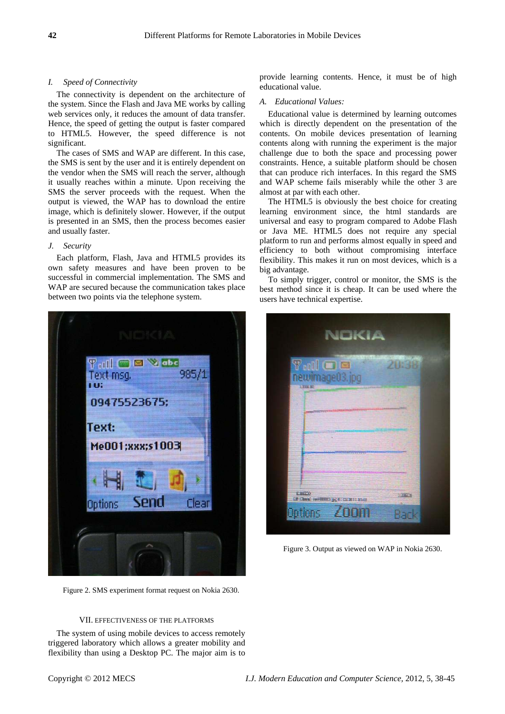## *I. Speed of Connectivity*

The connectivity is dependent on the architecture of the system. Since the Flash and Java ME works by calling web services only, it reduces the amount of data transfer. Hence, the speed of getting the output is faster compared to HTML5. However, the speed difference is not significant.

The cases of SMS and WAP are different. In this case, the SMS is sent by the user and it is entirely dependent on the vendor when the SMS will reach the server, although it usually reaches within a minute. Upon receiving the SMS the server proceeds with the request. When the output is viewed, the WAP has to download the entire image, which is definitely slower. However, if the output is presented in an SMS, then the process becomes easier and usually faster.

# *J. Security*

Each platform, Flash, Java and HTML5 provides its own safety measures and have been proven to be successful in commercial implementation. The SMS and WAP are secured because the communication takes place between two points via the telephone system.



Figure 2. SMS experiment format request on Nokia 2630.

## VII. EFFECTIVENESS OF THE PLATFORMS

The system of using mobile devices to access remotely triggered laboratory which allows a greater mobility and flexibility than using a Desktop PC. The major aim is to provide learning contents. Hence, it must be of high educational value.

#### *A. Educational Values:*

Educational value is determined by learning outcomes which is directly dependent on the presentation of the contents. On mobile devices presentation of learning contents along with running the experiment is the major challenge due to both the space and processing power constraints. Hence, a suitable platform should be chosen that can produce rich interfaces. In this regard the SMS and WAP scheme fails miserably while the other 3 are almost at par with each other.

The HTML5 is obviously the best choice for creating learning environment since, the html standards are universal and easy to program compared to Adobe Flash or Java ME. HTML5 does not require any special platform to run and performs almost equally in speed and efficiency to both without compromising interface flexibility. This makes it run on most devices, which is a big advantage.

To simply trigger, control or monitor, the SMS is the best method since it is cheap. It can be used where the users have technical expertise.



Figure 3. Output as viewed on WAP in Nokia 2630.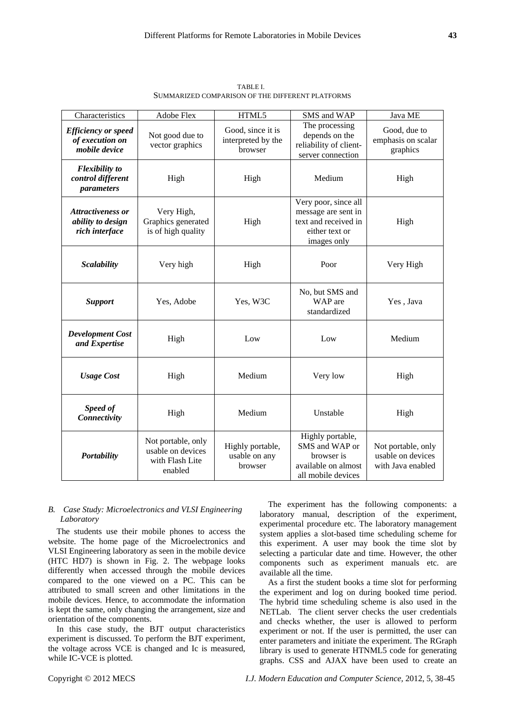| Characteristics                                                 | <b>Adobe Flex</b>                                                     | HTML5                                              | SMS and WAP                                                                                          | Java ME                                                      |
|-----------------------------------------------------------------|-----------------------------------------------------------------------|----------------------------------------------------|------------------------------------------------------------------------------------------------------|--------------------------------------------------------------|
| <b>Efficiency or speed</b><br>of execution on<br>mobile device  | Not good due to<br>vector graphics                                    | Good, since it is<br>interpreted by the<br>browser | The processing<br>depends on the<br>reliability of client-<br>server connection                      | Good, due to<br>emphasis on scalar<br>graphics               |
| <b>Flexibility</b> to<br>control different<br>parameters        | High                                                                  | High                                               | Medium                                                                                               | High                                                         |
| <b>Attractiveness or</b><br>ability to design<br>rich interface | Very High,<br>Graphics generated<br>is of high quality                | High                                               | Very poor, since all<br>message are sent in<br>text and received in<br>either text or<br>images only | High                                                         |
| <b>Scalability</b>                                              | Very high                                                             | High                                               | Poor                                                                                                 | Very High                                                    |
| <b>Support</b>                                                  | Yes, Adobe                                                            | Yes, W3C                                           | No, but SMS and<br>WAP are<br>standardized                                                           | Yes, Java                                                    |
| <b>Development Cost</b><br>and Expertise                        | High                                                                  | Low                                                | Low                                                                                                  | Medium                                                       |
| <b>Usage Cost</b>                                               | High                                                                  | Medium                                             | Very low                                                                                             | High                                                         |
| Speed of<br>Connectivity                                        | High                                                                  | Medium                                             | Unstable                                                                                             | High                                                         |
| <b>Portability</b>                                              | Not portable, only<br>usable on devices<br>with Flash Lite<br>enabled | Highly portable,<br>usable on any<br>browser       | Highly portable,<br>SMS and WAP or<br>browser is<br>available on almost<br>all mobile devices        | Not portable, only<br>usable on devices<br>with Java enabled |

TABLE I. SUMMARIZED COMPARISON OF THE DIFFERENT PLATFORMS

# *B. Case Study: Microelectronics and VLSI Engineering Laboratory*

The students use their mobile phones to access the website. The home page of the Microelectronics and VLSI Engineering laboratory as seen in the mobile device (HTC HD7) is shown in Fig. 2. The webpage looks differently when accessed through the mobile devices compared to the one viewed on a PC. This can be attributed to small screen and other limitations in the mobile devices. Hence, to accommodate the information is kept the same, only changing the arrangement, size and orientation of the components.

In this case study, the BJT output characteristics experiment is discussed. To perform the BJT experiment, the voltage across VCE is changed and Ic is measured, while IC-VCE is plotted.

The experiment has the following components: a laboratory manual, description of the experiment, experimental procedure etc. The laboratory management system applies a slot-based time scheduling scheme for this experiment. A user may book the time slot by selecting a particular date and time. However, the other components such as experiment manuals etc. are available all the time.

As a first the student books a time slot for performing the experiment and log on during booked time period. The hybrid time scheduling scheme is also used in the NETLab. The client server checks the user credentials and checks whether, the user is allowed to perform experiment or not. If the user is permitted, the user can enter parameters and initiate the experiment. The RGraph library is used to generate HTNML5 code for generating graphs. CSS and AJAX have been used to create an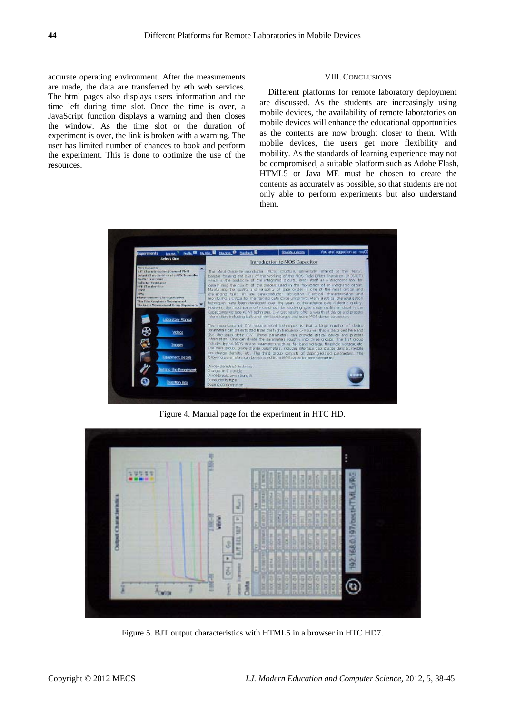accurate operating environment. After the measurements are made, the data are transferred by eth web services. The html pages also displays users information and the time left during time slot. Once the time is over, a JavaScript function displays a warning and then closes the window. As the time slot or the duration of experiment is over, the link is broken with a warning. The user has limited number of chances to book and perform the experiment. This is done to optimize the use of the resources.

## VIII. CONCLUSIONS

Different platforms for remote laboratory deployment are discussed. As the students are increasingly using mobile devices, the availability of remote laboratories on mobile devices will enhance the educational opportunities as the contents are now brought closer to them. With mobile devices, the users get more flexibility and mobility. As the standards of learning experience may not be compromised, a suitable platform such as Adobe Flash, HTML5 or Java ME must be chosen to create the contents as accurately as possible, so that students are not only able to perform experiments but also understand them.



Figure 4. Manual page for the experiment in HTC HD.



Figure 5. BJT output characteristics with HTML5 in a browser in HTC HD7.